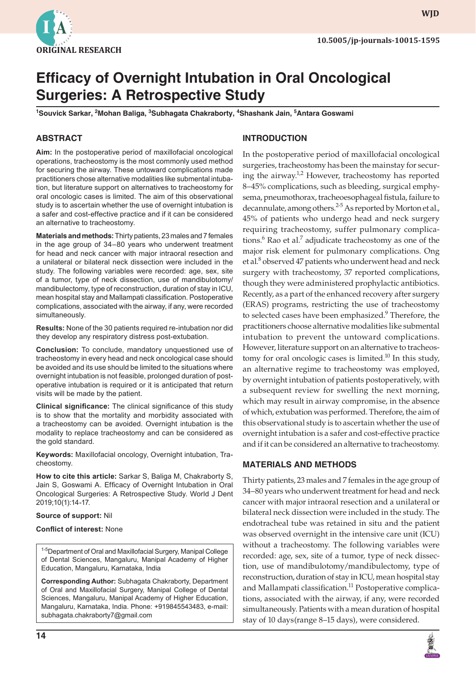

# **Efficacy of Overnight Intubation in Oral Oncological Surgeries: A Retrospective Study**

**1 Souvick Sarkar, <sup>2</sup> Mohan Baliga, <sup>3</sup> Subhagata Chakraborty, <sup>4</sup> Shashank Jain, <sup>5</sup> Antara Goswami**

# **ABSTRACT**

**Aim:** In the postoperative period of maxillofacial oncological operations, tracheostomy is the most commonly used method for securing the airway. These untoward complications made practitioners chose alternative modalities like submental intubation, but literature support on alternatives to tracheostomy for oral oncologic cases is limited. The aim of this observational study is to ascertain whether the use of overnight intubation is a safer and cost-effective practice and if it can be considered an alternative to tracheostomy.

**Materials and methods:** Thirty patients, 23 males and 7 females in the age group of 34–80 years who underwent treatment for head and neck cancer with major intraoral resection and a unilateral or bilateral neck dissection were included in the study. The following variables were recorded: age, sex, site of a tumor, type of neck dissection, use of mandibulotomy/ mandibulectomy, type of reconstruction, duration of stay in ICU, mean hospital stay and Mallampati classification. Postoperative complications, associated with the airway, if any, were recorded simultaneously.

**Results:** None of the 30 patients required re-intubation nor did they develop any respiratory distress post-extubation.

**Conclusion:** To conclude, mandatory unquestioned use of tracheostomy in every head and neck oncological case should be avoided and its use should be limited to the situations where overnight intubation is not feasible, prolonged duration of postoperative intubation is required or it is anticipated that return visits will be made by the patient.

**Clinical significance:** The clinical significance of this study is to show that the mortality and morbidity associated with a tracheostomy can be avoided. Overnight intubation is the modality to replace tracheostomy and can be considered as the gold standard.

**Keywords:** Maxillofacial oncology, Overnight intubation, Tracheostomy.

**How to cite this article:** Sarkar S, Baliga M, Chakraborty S, Jain S, Goswami A. Efficacy of Overnight Intubation in Oral Oncological Surgeries: A Retrospective Study. World J Dent 2019;10(1):14-17.

#### **Source of support:** Nil

#### **Conflict of interest:** None

<sup>1-5</sup>Department of Oral and Maxillofacial Surgery, Manipal College of Dental Sciences, Mangaluru, Manipal Academy of Higher Education, Mangaluru, Karnataka, India

**Corresponding Author:** Subhagata Chakraborty, Department of Oral and Maxillofacial Surgery, Manipal College of Dental Sciences, Mangaluru, Manipal Academy of Higher Education, Mangaluru, Karnataka, India. Phone: +919845543483, e-mail: subhagata.chakraborty7@gmail.com

## **INTRODUCTION**

In the postoperative period of maxillofacial oncological surgeries, tracheostomy has been the mainstay for securing the airway.<sup>1,2</sup> However, tracheostomy has reported 8–45% complications, such as bleeding, surgical emphysema, pneumothorax, tracheoesophageal fistula, failure to decannulate, among others.<sup>2-5</sup> As reported by Morton et al., 45% of patients who undergo head and neck surgery requiring tracheostomy, suffer pulmonary complications.<sup>6</sup> Rao et al.<sup>7</sup> adjudicate tracheostomy as one of the major risk element for pulmonary complications. Ong et al.<sup>8</sup> observed 47 patients who underwent head and neck surgery with tracheostomy, 37 reported complications, though they were administered prophylactic antibiotics. Recently, as a part of the enhanced recovery after surgery (ERAS) programs, restricting the use of tracheostomy to selected cases have been emphasized.<sup>9</sup> Therefore, the practitioners choose alternative modalities like submental intubation to prevent the untoward complications. However, literature support on an alternative to tracheostomy for oral oncologic cases is limited.<sup>10</sup> In this study, an alternative regime to tracheostomy was employed, by overnight intubation of patients postoperatively, with a subsequent review for swelling the next morning, which may result in airway compromise, in the absence of which, extubation was performed. Therefore, the aim of this observational study is to ascertain whether the use of overnight intubation is a safer and cost-effective practice and if it can be considered an alternative to tracheostomy.

## **MATERIALS AND METHODS**

Thirty patients, 23 males and 7 females in the age group of 34–80 years who underwent treatment for head and neck cancer with major intraoral resection and a unilateral or bilateral neck dissection were included in the study. The endotracheal tube was retained in situ and the patient was observed overnight in the intensive care unit (ICU) without a tracheostomy. The following variables were recorded: age, sex, site of a tumor, type of neck dissection, use of mandibulotomy/mandibulectomy, type of reconstruction, duration of stay in ICU, mean hospital stay and Mallampati classification.<sup>11</sup> Postoperative complications, associated with the airway, if any, were recorded simultaneously. Patients with a mean duration of hospital stay of 10 days(range 8–15 days), were considered.



**WJD**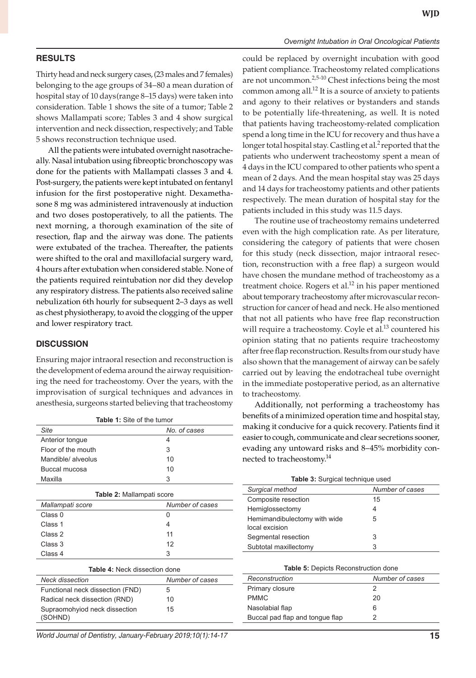#### *Overnight Intubation in Oral Oncological Patients*

## **RESULTS**

Thirty head and neck surgery cases, (23 males and 7 females) belonging to the age groups of 34–80 a mean duration of hospital stay of 10 days(range 8–15 days) were taken into consideration. Table 1 shows the site of a tumor; Table 2 shows Mallampati score; Tables 3 and 4 show surgical intervention and neck dissection, respectively; and Table 5 shows reconstruction technique used.

All the patients were intubated overnight nasotracheally. Nasal intubation using fibreoptic bronchoscopy was done for the patients with Mallampati classes 3 and 4. Post-surgery, the patients were kept intubated on fentanyl infusion for the first postoperative night. Dexamethasone 8 mg was administered intravenously at induction and two doses postoperatively, to all the patients. The next morning, a thorough examination of the site of resection, flap and the airway was done. The patients were extubated of the trachea. Thereafter, the patients were shifted to the oral and maxillofacial surgery ward, 4 hours after extubation when considered stable. None of the patients required reintubation nor did they develop any respiratory distress. The patients also received saline nebulization 6th hourly for subsequent 2–3 days as well as chest physiotherapy, to avoid the clogging of the upper and lower respiratory tract.

## **DISCUSSION**

Ensuring major intraoral resection and reconstruction is the development of edema around the airway requisitioning the need for tracheostomy. Over the years, with the improvisation of surgical techniques and advances in anesthesia, surgeons started believing that tracheostomy

| <b>Table 1:</b> Site of the tumor    |                 | benefits of a minimized operation time and                                                                                                                                    |        |
|--------------------------------------|-----------------|-------------------------------------------------------------------------------------------------------------------------------------------------------------------------------|--------|
| Site                                 | No. of cases    | making it conducive for a quick recovery. I<br>easier to cough, communicate and clear secr<br>evading any untoward risks and 8-45% n<br>nected to tracheostomy. <sup>14</sup> |        |
| Anterior tongue                      | 4               |                                                                                                                                                                               |        |
| Floor of the mouth                   | 3               |                                                                                                                                                                               |        |
| Mandible/ alveolus                   | 10              |                                                                                                                                                                               |        |
| Buccal mucosa                        | 10              |                                                                                                                                                                               |        |
| Maxilla                              | 3               | Table 3: Surgical technique used                                                                                                                                              |        |
|                                      |                 | Surgical method                                                                                                                                                               | Numb   |
| Table 2: Mallampati score            |                 | Composite resection                                                                                                                                                           | 15     |
| Mallampati score                     | Number of cases | Hemiglossectomy                                                                                                                                                               |        |
| Class 0                              | 0               | Hemimandibulectomy with wide<br>local excision<br>Segmental resection                                                                                                         | 4<br>5 |
| Class 1                              | 4               |                                                                                                                                                                               |        |
| Class 2                              | 11              |                                                                                                                                                                               | 3      |
| Class 3                              | 12              | Subtotal maxillectomy                                                                                                                                                         | 3      |
| Class 4                              | 3               |                                                                                                                                                                               |        |
| <b>Table 4: Neck dissection done</b> |                 | Table 5: Depicts Reconstruction do                                                                                                                                            |        |
| <b>Neck dissection</b>               | Number of cases | Reconstruction                                                                                                                                                                | Numb   |
| Functional neck dissection (FND)     | 5               | Primary closure                                                                                                                                                               | 2      |
| Radical neck dissection (RND)        | 10              | <b>PMMC</b>                                                                                                                                                                   | 20     |
| Supraomohyiod neck dissection        | 15              | Nasolabial flap                                                                                                                                                               | 6      |
| (SOHND)                              |                 | Buccal pad flap and tongue flap                                                                                                                                               | 2      |
|                                      |                 |                                                                                                                                                                               |        |

*World Journal of Dentistry, January-February 2019;10(1):14-17* **15**

could be replaced by overnight incubation with good patient compliance. Tracheostomy related complications are not uncommon.<sup>2,5-10</sup> Chest infections being the most common among all.<sup>12</sup> It is a source of anxiety to patients and agony to their relatives or bystanders and stands to be potentially life-threatening, as well. It is noted that patients having tracheostomy-related complication spend a long time in the ICU for recovery and thus have a longer total hospital stay. Castling et al.<sup>2</sup> reported that the patients who underwent tracheostomy spent a mean of 4 days in the ICU compared to other patients who spent a mean of 2 days. And the mean hospital stay was 25 days and 14 days for tracheostomy patients and other patients respectively. The mean duration of hospital stay for the patients included in this study was 11.5 days.

The routine use of tracheostomy remains undeterred even with the high complication rate. As per literature, considering the category of patients that were chosen for this study (neck dissection, major intraoral resection, reconstruction with a free flap) a surgeon would have chosen the mundane method of tracheostomy as a treatment choice. Rogers et al.<sup>12</sup> in his paper mentioned about temporary tracheostomy after microvascular reconstruction for cancer of head and neck. He also mentioned that not all patients who have free flap reconstruction will require a tracheostomy. Coyle et al.<sup>13</sup> countered his opinion stating that no patients require tracheostomy after free flap reconstruction. Results from our study have also shown that the management of airway can be safely carried out by leaving the endotracheal tube overnight in the immediate postoperative period, as an alternative to tracheostomy.

Additionally, not performing a tracheostomy has benefits of a minimized operation time and hospital stay, making it conducive for a quick recovery. Patients find it easier to cough, communicate and clear secretions sooner, evading any untoward risks and 8–45% morbidity connected to tracheostomy.<sup>14</sup>

|  |  |  |  | Table 3: Surgical technique used |  |
|--|--|--|--|----------------------------------|--|
|--|--|--|--|----------------------------------|--|

| Surgical method                                | Number of cases |
|------------------------------------------------|-----------------|
| Composite resection                            | 15              |
| Hemiglossectomy                                | 4               |
| Hemimandibulectomy with wide<br>local excision | 5               |
| Segmental resection                            | 3               |
| Subtotal maxillectomy                          | 3               |

| <b>Table 5: Depicts Reconstruction done</b> |
|---------------------------------------------|
|                                             |

| Reconstruction                  | Number of cases |
|---------------------------------|-----------------|
| Primary closure                 |                 |
| <b>PMMC</b>                     | 20              |
| Nasolabial flap                 | 6               |
| Buccal pad flap and tongue flap |                 |
|                                 |                 |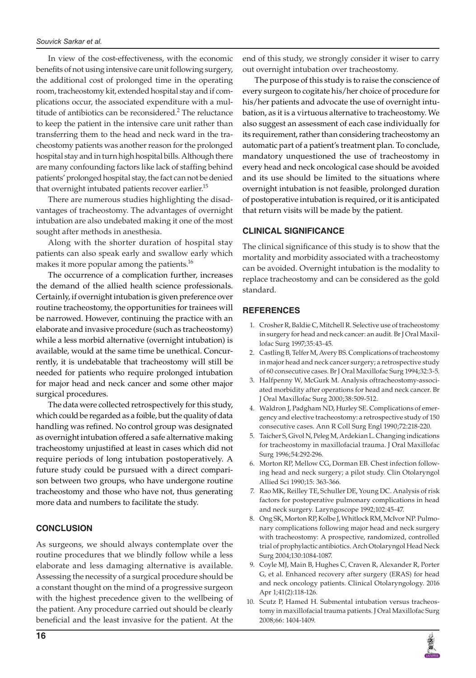In view of the cost-effectiveness, with the economic benefits of not using intensive care unit following surgery, the additional cost of prolonged time in the operating room, tracheostomy kit, extended hospital stay and if complications occur, the associated expenditure with a multitude of antibiotics can be reconsidered.<sup>2</sup> The reluctance to keep the patient in the intensive care unit rather than transferring them to the head and neck ward in the tracheostomy patients was another reason for the prolonged hospital stay and in turn high hospital bills. Although there are many confounding factors like lack of staffing behind patients' prolonged hospital stay, the fact can not be denied that overnight intubated patients recover earlier. $^{15}$ 

There are numerous studies highlighting the disadvantages of tracheostomy. The advantages of overnight intubation are also undebated making it one of the most sought after methods in anesthesia.

Along with the shorter duration of hospital stay patients can also speak early and swallow early which makes it more popular among the patients.<sup>16</sup>

The occurrence of a complication further, increases the demand of the allied health science professionals. Certainly, if overnight intubation is given preference over routine tracheostomy, the opportunities for trainees will be narrowed. However, continuing the practice with an elaborate and invasive procedure (such as tracheostomy) while a less morbid alternative (overnight intubation) is available, would at the same time be unethical. Concurrently, it is undebatable that tracheostomy will still be needed for patients who require prolonged intubation for major head and neck cancer and some other major surgical procedures.

The data were collected retrospectively for this study, which could be regarded as a foible, but the quality of data handling was refined. No control group was designated as overnight intubation offered a safe alternative making tracheostomy unjustified at least in cases which did not require periods of long intubation postoperatively. A future study could be pursued with a direct comparison between two groups, who have undergone routine tracheostomy and those who have not, thus generating more data and numbers to facilitate the study.

## **CONCLUSION**

As surgeons, we should always contemplate over the routine procedures that we blindly follow while a less elaborate and less damaging alternative is available. Assessing the necessity of a surgical procedure should be a constant thought on the mind of a progressive surgeon with the highest precedence given to the wellbeing of the patient. Any procedure carried out should be clearly beneficial and the least invasive for the patient. At the

end of this study, we strongly consider it wiser to carry out overnight intubation over tracheostomy.

The purpose of this study is to raise the conscience of every surgeon to cogitate his/her choice of procedure for his/her patients and advocate the use of overnight intubation, as it is a virtuous alternative to tracheostomy. We also suggest an assessment of each case individually for its requirement, rather than considering tracheostomy an automatic part of a patient's treatment plan. To conclude, mandatory unquestioned the use of tracheostomy in every head and neck oncological case should be avoided and its use should be limited to the situations where overnight intubation is not feasible, prolonged duration of postoperative intubation is required, or it is anticipated that return visits will be made by the patient.

# **CLINICAL SIGNIFICANCE**

The clinical significance of this study is to show that the mortality and morbidity associated with a tracheostomy can be avoided. Overnight intubation is the modality to replace tracheostomy and can be considered as the gold standard.

# **REFERENCES**

- 1. Crosher R, Baldie C, Mitchell R. Selective use of tracheostomy in surgery for head and neck cancer: an audit. Br J Oral Maxillofac Surg 1997;35:43-45.
- 2. Castling B, Telfer M, Avery BS. Complications of tracheostomy in major head and neck cancer surgery; a retrospective study of 60 consecutive cases. Br J Oral Maxillofac Surg 1994;32:3-5.
- 3. Halfpenny W, McGurk M. Analysis oftracheostomy-associated morbidity after operations for head and neck cancer. Br J Oral Maxillofac Surg 2000;38:509-512.
- 4. Waldron J, Padgham ND, Hurley SE. Complications of emergency and elective tracheostomy: a retrospective study of 150 consecutive cases. Ann R Coll Surg Engl 1990;72:218-220.
- 5. Taicher S, Givol N, Peleg M, Ardekian L. Changing indications for tracheostomy in maxillofacial trauma. J Oral Maxillofac Surg 1996;54:292-296.
- 6. Morton RP, Mellow CG, Dorman EB. Chest infection following head and neck surgery; a pilot study. Clin Otolaryngol Allied Sci 1990;15: 363-366.
- 7. Rao MK, Reilley TE, Schuller DE, Young DC. Analysis of risk factors for postoperative pulmonary complications in head and neck surgery. Laryngoscope 1992;102:45-47.
- 8. Ong SK, Morton RP, Kolbe J, Whitlock RM, McIvor NP. Pulmonary complications following major head and neck surgery with tracheostomy: A prospective, randomized, controlled trial of prophylactic antibiotics. Arch Otolaryngol Head Neck Surg 2004;130:1084-1087.
- 9. Coyle MJ, Main B, Hughes C, Craven R, Alexander R, Porter G, et al. Enhanced recovery after surgery (ERAS) for head and neck oncology patients. Clinical Otolaryngology. 2016 Apr 1;41(2):118-126.
- 10. Scutz P, Hamed H. Submental intubation versus tracheostomy in maxillofacial trauma patients. J Oral Maxillofac Surg 2008;66: 1404-1409.